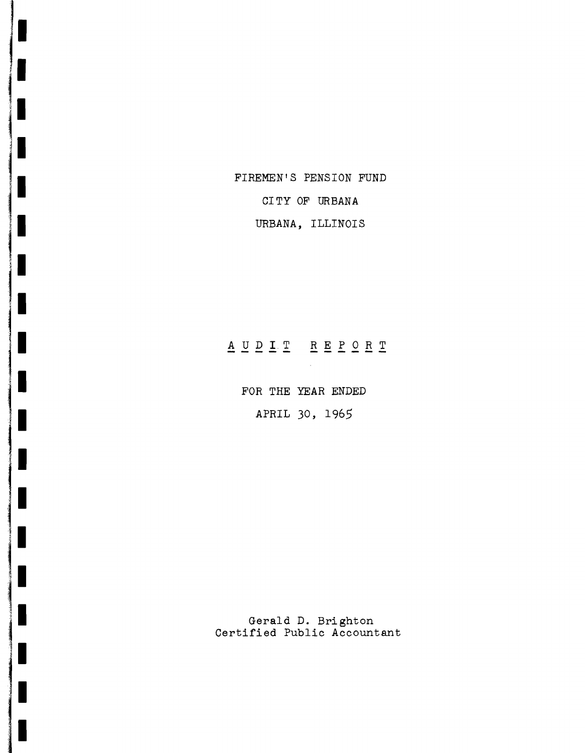FIREMEN'S PENSION FUND

CITY OF URBANA

URBANA, ILLINOIS

# AUDIT REPORT

FOR THE YEAR ENDED APRIL 30, 1965

Gerald D. Brighton Certified Public Accountant

I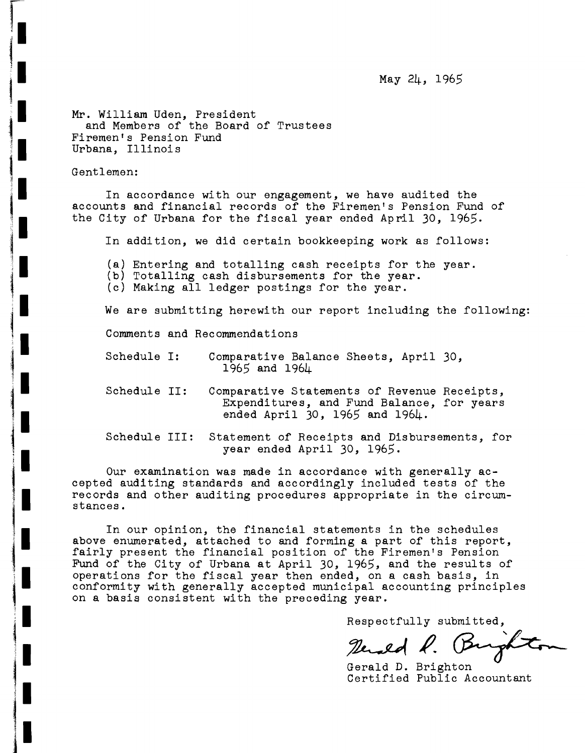May 24, 1965

Mr. William Uden, President and Members of the Board of Trustees Firemen's Pension Fund Urbana, Illinois

Gentlemen:

In accordance with our engagement, we have audited the accounts and financial records of the Firemen's Pension Fund of the City of Urbana for the fiscal year ended April 30, 1965.

In addition, we did certain bookkeeping work as follows:

(a) Entering and totalling cash receipts for the year.

(b) Totalling cash disbursements for the year.

(c) Making all ledger postings for the year.

We are submitting herewith our report including the following:

Comments and Recommendations

- Schedule I: Comparative Balance Sheets, April 30, 1965 and 1964
- Schedule II: Comparative Statements of Revenue Receipts, Expenditures, and Fund Balance, for years ended April 30, 1965 and 1964.

Schedule III: Statement of Receipts and Disbursements, for year ended April 30, 1965.

Our examination was made in accordance with generally accepted auditing standards and accordingly included tests of the records and other auditing procedures appropriate in the circumstances.

In our opinion, the financial statements in the schedules above enumerated, attached to and forming <sup>a</sup> part of this report, fairly present the financial position of the Firemen's Pension Fund of the City of Urbana at April 30, 1965, and the results of operations for the fiscal year then ended, on <sup>a</sup> cash basis, in conformity with generally accepted municipal accounting principles on a basis consistent with the preceding year.

Respectfully submitted,

Rended R. Bur

Gerald D. Brighton Certified Public Accountant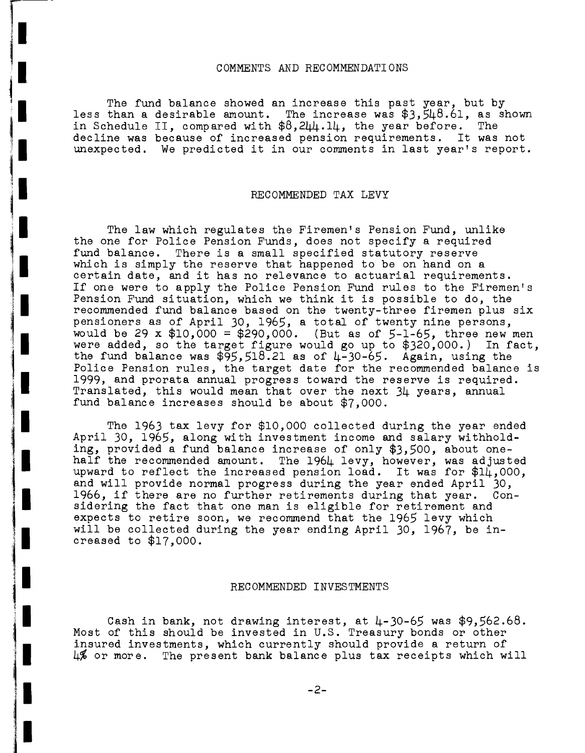#### COMMENTS AND RECOMMENDATIONS

The fund balance showed an increase this past year, but by less than a desirable amount. The increase was  $$3,548.61$ , as shown in Schedule II, compared with  $$8,200.10$ , the year before. The in Schedule II, compared with \$8,244.14, the year before. decline was because of increased pension requirements. It was not unexpected. We predicted it in our comments in last year's report.

## RECOMMENDED TAX LEVY

The law which regulates the Firemen's Pension Fund, unlike the one for Police Pension Funds, does not specify a required fund balance. There is <sup>a</sup> small specified statutory reserve which is simply the reserve that happened to be on hand on <sup>a</sup> certain date, and it has no relevance to actuarial requirements. If one were to apply the Police Pension Fund rules to the Firemen's Pension Fund situation, which we think it is possible to do, the recommended fund balance based on the twenty-three firemen plus six pensioners as of April 30, 1965, <sup>a</sup> total of twenty nine persons, would be 29 x  $$10,000 = $290,000$ . (But as of 5-1-65, three new men were added, so the target figure would go up to \$320,000.) In fact, the fund balance was  $$95,518.21$  as of  $4-30-65$ . Again, using the Police Pension rules, the target date for the recommended balance is 1999, and prorata annual progress toward the reserve is required. Translated, this would mean that over the next 34 years, annual fund balance increases should be about \$7,000.

The 1963 tax levy for \$10,000 collected during the year ended April 30, 1965, along with investment income and salary withholding, provided a fund balance increase of only \$3,500, about onehalf the recommended amount. The 1964 levy, however, was adjusted upward to reflect the increased pension load. It was for  $\sharp 1\mathring{\mu}$ ,000, and will provide normal progress during the year ended April 30, 1966, if there are no further retirements during that year. Considering the fact that one man is eligible for retirement and expects to retire soon, we recommend that the 1965 levy which will be collected during the year ending April 30, 1967, be increased to \$17,000.

#### RECOMMENDED INVESTMENTS

Cash in bank, not drawing interest, at  $\mu$ -30-65 was \$9,562.68. Most of this should be invested in U.S. Treasury bonds or other<br>insured investments, which currently should provide a return of  $\frac{1}{6}$  or more. The present bank balance plus tax receipts which will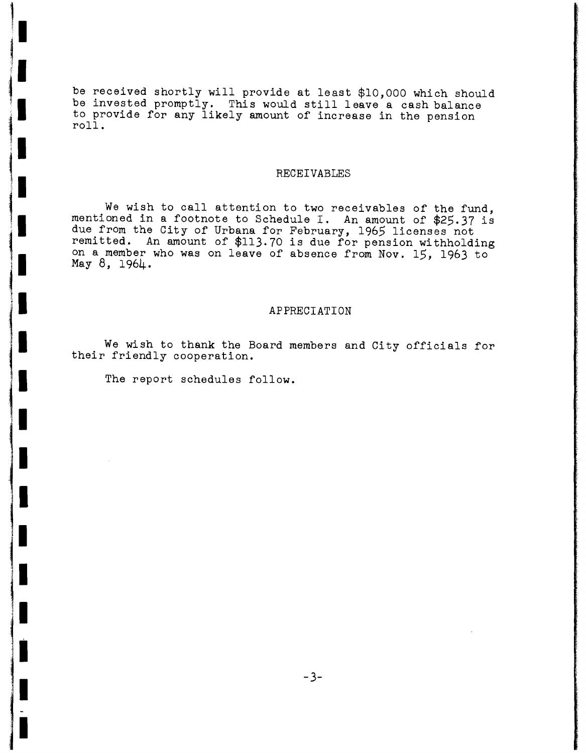be received shortly will provide at least \$10,000 which should be invested promptly. This would still leave <sup>a</sup> cash balance to provide for any likely amount of increase in the pension roll.

#### RECEIVABLES

We wish to call attention to two receivables of the fund, mentioned in <sup>a</sup> footnote to Schedule I. An amount of \$25.37 is due from the City of Urbana for February, 1965 licenses not remitted. An amount of \$113.70 is due for pension withholding on a member who was on leave of absence from Nov. 15, 1963 to May 8, 1964.

## APPRECIATION

We wish to thank the Board members and City officials for their friendly cooperation.

The report schedules follow.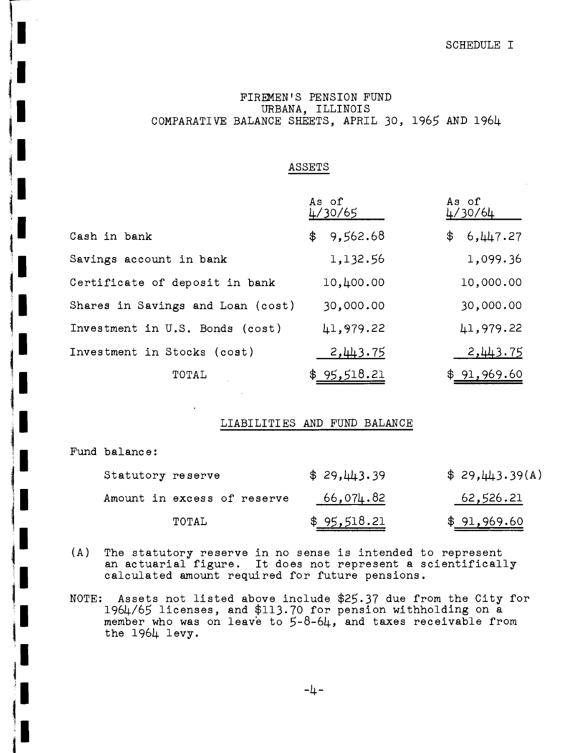## SCHEDULE I

## FIREMEN'S PENSION FUND URBANA, ILLINOIS COMPARATIVE BALANCE SHEETS, APRIL 30, 1965 AND 1964

## ASSETS

|                                   | As of<br>4/30/65 | As of<br>4/30/64 |
|-----------------------------------|------------------|------------------|
| Cash in bank                      | \$9,562.68       | 6,447.27<br>\$   |
| Savings account in bank           | 1,132.56         | 1,099.36         |
| Certificate of deposit in bank    | 10,400.00        | 10,000.00        |
| Shares in Savings and Loan (cost) | 30,000.00        | 30,000.00        |
| Investment in U.S. Bonds (cost)   | 41,979.22        | 41,979.22        |
| Investment in Stocks (cost)       | 2,443.75         | 2,443.75         |
| TOTAL                             | \$95,518.21      | \$91,969.60      |

## LIABILITIES AND FUND BALANCE

Fund balance:

| Statutory reserve           | \$29,443.39 | \$29,443.39(A)      |
|-----------------------------|-------------|---------------------|
| Amount in excess of reserve | 66,074.82   | 62,526.21           |
| TOTAL                       | \$95,518.21 | \$ <u>91,969.60</u> |

- (A) The statutory reserve in no sense is intended to represent an actuarial figure. It does not represent <sup>a</sup> scientifically calculated amount required for future pensions.
- NOTE: Assets not listed above include \$25.37 due from the City for 1964/65 licenses, and \$113.70 for pension withholding on a member who was on leave to 5-8-64, and taxes receivable from the 1964 levy.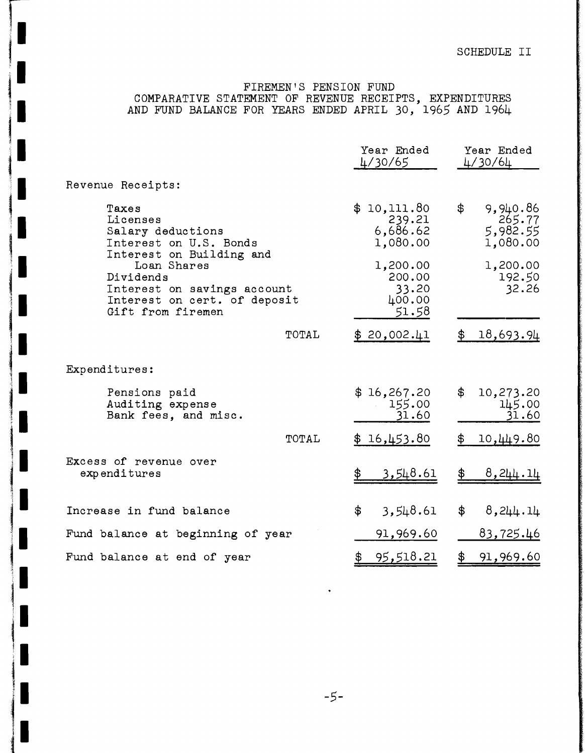## FIREMEN'S PENSION FUND

COMPARATIVE STATEMENT OF REVENUE RECEIPTS, EXPENDITURES AND FUND BALANCE FOR YEARS ENDED APRIL 30, 1965 AND 1964

|                                                                                                                                          | Year Ended<br>4/30/65                          | Year Ended<br>4/30/64                            |
|------------------------------------------------------------------------------------------------------------------------------------------|------------------------------------------------|--------------------------------------------------|
| Revenue Receipts:                                                                                                                        |                                                |                                                  |
| Taxes<br>Licenses<br>Salary deductions<br>Interest on U.S. Bonds                                                                         | \$10,111.80<br>239.21<br>6,686.62<br>1,080.00  | \$<br>9,940.86<br>265.77<br>5,982.55<br>1,080.00 |
| Interest on Building and<br>Loan Shares<br>Dividends<br>Interest on savings account<br>Interest on cert. of deposit<br>Gift from firemen | 1,200.00<br>200.00<br>33.20<br>400.00<br>51.58 | 1,200.00<br>192.50<br>32.26                      |
| TOTAL                                                                                                                                    | \$20,002.41                                    | 18,693.94<br>\$                                  |
| Expenditures:                                                                                                                            |                                                |                                                  |
| Pensions paid<br>Auditing expense<br>Bank fees, and misc.                                                                                | \$16,267.20<br>155.00<br>31.60                 | \$<br>10,273.20<br>145.00<br>31.60               |
| TOTAL                                                                                                                                    | \$16,453.80                                    | 10,449.80<br>\$⊺                                 |
| Excess of revenue over<br>expenditures                                                                                                   | <u>3,548.61</u>                                | 8,244.14<br>\$                                   |
| Increase in fund balance                                                                                                                 | 3,548.61<br>\$                                 | \$<br>8,244.14                                   |
| Fund balance at beginning of year                                                                                                        | 91,969.60                                      | <u>83,725.46</u>                                 |
| Fund balance at end of year                                                                                                              | 95,518.21<br><u>\$</u>                         | $\frac{1}{2}$<br>91,969.60                       |